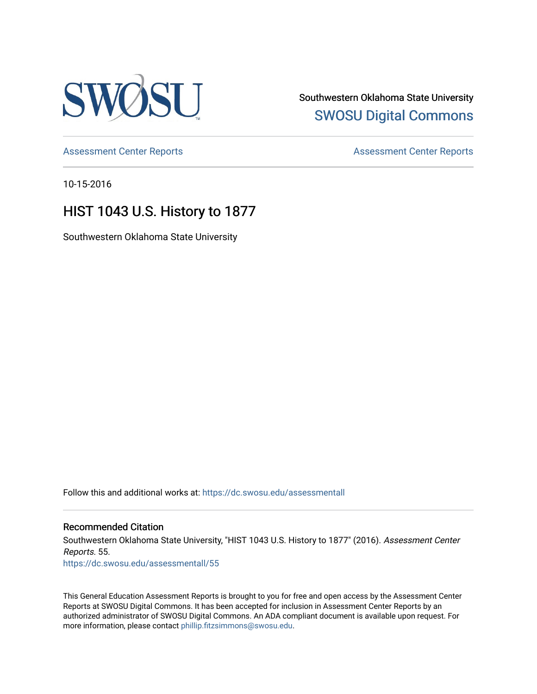

Southwestern Oklahoma State University [SWOSU Digital Commons](https://dc.swosu.edu/) 

[Assessment Center Reports](https://dc.swosu.edu/assessmenthm) **Assessment Center Reports** 

10-15-2016

# HIST 1043 U.S. History to 1877

Southwestern Oklahoma State University

Follow this and additional works at: [https://dc.swosu.edu/assessmentall](https://dc.swosu.edu/assessmentall?utm_source=dc.swosu.edu%2Fassessmentall%2F55&utm_medium=PDF&utm_campaign=PDFCoverPages) 

# Recommended Citation

Southwestern Oklahoma State University, "HIST 1043 U.S. History to 1877" (2016). Assessment Center Reports. 55. [https://dc.swosu.edu/assessmentall/55](https://dc.swosu.edu/assessmentall/55?utm_source=dc.swosu.edu%2Fassessmentall%2F55&utm_medium=PDF&utm_campaign=PDFCoverPages) 

This General Education Assessment Reports is brought to you for free and open access by the Assessment Center Reports at SWOSU Digital Commons. It has been accepted for inclusion in Assessment Center Reports by an authorized administrator of SWOSU Digital Commons. An ADA compliant document is available upon request. For more information, please contact [phillip.fitzsimmons@swosu.edu.](mailto:phillip.fitzsimmons@swosu.edu)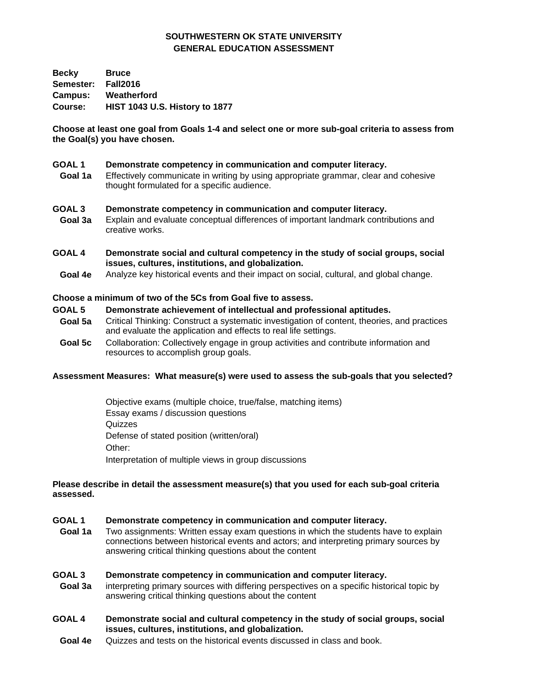# **SOUTHWESTERN OK STATE UNIVERSITY GENERAL EDUCATION ASSESSMENT**

**Becky Bruce Semester: Fall2016 Campus: Weatherford Course: HIST 1043 U.S. History to 1877** 

**Choose at least one goal from Goals 1-4 and select one or more sub-goal criteria to assess from the Goal(s) you have chosen.** 

#### **GOAL 1 Demonstrate competency in communication and computer literacy.**

**Goal 1a** Effectively communicate in writing by using appropriate grammar, clear and cohesive thought formulated for a specific audience.

#### **GOAL 3 Demonstrate competency in communication and computer literacy.**

- **Goal 3a** Explain and evaluate conceptual differences of important landmark contributions and creative works.
- **GOAL 4 Demonstrate social and cultural competency in the study of social groups, social issues, cultures, institutions, and globalization.**
	- **Goal 4e** Analyze key historical events and their impact on social, cultural, and global change.

#### **Choose a minimum of two of the 5Cs from Goal five to assess.**

#### **GOAL 5 Demonstrate achievement of intellectual and professional aptitudes.**

- **Goal 5a** Critical Thinking: Construct a systematic investigation of content, theories, and practices and evaluate the application and effects to real life settings.
- **Goal 5c** Collaboration: Collectively engage in group activities and contribute information and resources to accomplish group goals.

#### **Assessment Measures: What measure(s) were used to assess the sub-goals that you selected?**

Objective exams (multiple choice, true/false, matching items) Essay exams / discussion questions **Quizzes** Defense of stated position (written/oral) Other: Interpretation of multiple views in group discussions

#### **Please describe in detail the assessment measure(s) that you used for each sub-goal criteria assessed.**

#### **GOAL 1 Demonstrate competency in communication and computer literacy.**

 **Goal 1a** Two assignments: Written essay exam questions in which the students have to explain connections between historical events and actors; and interpreting primary sources by answering critical thinking questions about the content

## **GOAL 3 Demonstrate competency in communication and computer literacy.**

- **Goal 3a** interpreting primary sources with differing perspectives on a specific historical topic by answering critical thinking questions about the content
- **GOAL 4 Demonstrate social and cultural competency in the study of social groups, social issues, cultures, institutions, and globalization.**
	- **Goal 4e** Quizzes and tests on the historical events discussed in class and book.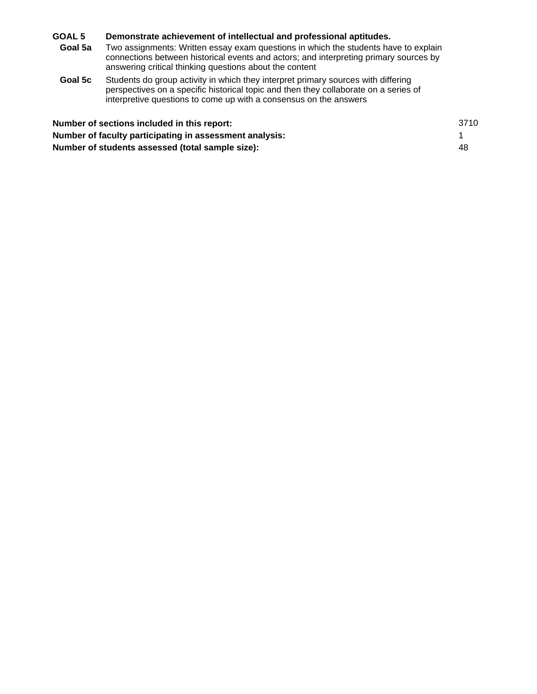## **GOAL 5 Demonstrate achievement of intellectual and professional aptitudes.**

- **Goal 5a** Two assignments: Written essay exam questions in which the students have to explain connections between historical events and actors; and interpreting primary sources by answering critical thinking questions about the content
- **Goal 5c** Students do group activity in which they interpret primary sources with differing perspectives on a specific historical topic and then they collaborate on a series of interpretive questions to come up with a consensus on the answers

| Number of sections included in this report:             | 3710 |
|---------------------------------------------------------|------|
| Number of faculty participating in assessment analysis: |      |
| Number of students assessed (total sample size):        | 48   |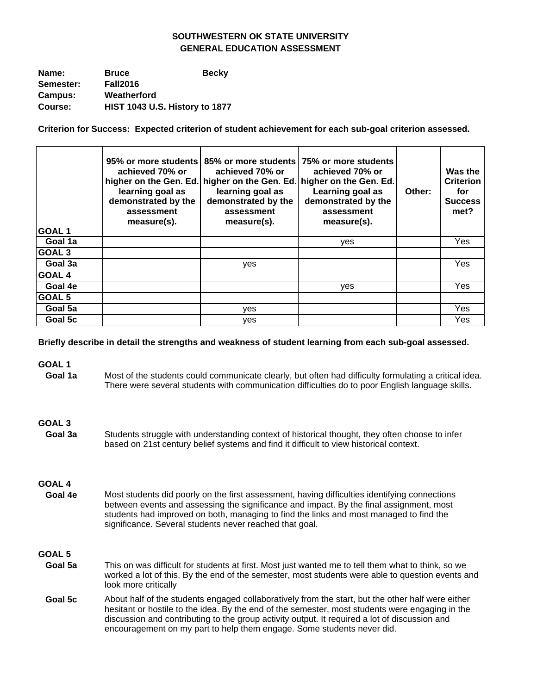# **SOUTHWESTERN OK STATE UNIVERSITY GENERAL EDUCATION ASSESSMENT**

| Name:     | <b>Bruce</b>                   | <b>Becky</b> |
|-----------|--------------------------------|--------------|
| Semester: | <b>Fall2016</b>                |              |
| Campus:   | Weatherford                    |              |
| Course:   | HIST 1043 U.S. History to 1877 |              |

**Criterion for Success: Expected criterion of student achievement for each sub-goal criterion assessed.** 

| GOAL <sub>1</sub> | achieved 70% or<br>learning goal as<br>demonstrated by the<br>assessment<br>measure(s). | 95% or more students 85% or more students 75% or more students<br>achieved 70% or<br>higher on the Gen. Ed. higher on the Gen. Ed. higher on the Gen. Ed.<br>learning goal as<br>demonstrated by the<br>assessment<br>measure(s). | achieved 70% or<br>Learning goal as<br>demonstrated by the<br>assessment<br>measure(s). | Other: | Was the<br><b>Criterion</b><br>for<br><b>Success</b><br>met? |
|-------------------|-----------------------------------------------------------------------------------------|-----------------------------------------------------------------------------------------------------------------------------------------------------------------------------------------------------------------------------------|-----------------------------------------------------------------------------------------|--------|--------------------------------------------------------------|
| Goal 1a           |                                                                                         |                                                                                                                                                                                                                                   | ves                                                                                     |        | Yes                                                          |
| GOAL <sub>3</sub> |                                                                                         |                                                                                                                                                                                                                                   |                                                                                         |        |                                                              |
| Goal 3a           |                                                                                         | <b>ves</b>                                                                                                                                                                                                                        |                                                                                         |        | Yes                                                          |
| <b>GOAL 4</b>     |                                                                                         |                                                                                                                                                                                                                                   |                                                                                         |        |                                                              |
| Goal 4e           |                                                                                         |                                                                                                                                                                                                                                   | ves                                                                                     |        | Yes                                                          |
| GOAL 5            |                                                                                         |                                                                                                                                                                                                                                   |                                                                                         |        |                                                              |
| Goal 5a           |                                                                                         | yes                                                                                                                                                                                                                               |                                                                                         |        | Yes                                                          |
| Goal 5c           |                                                                                         | ves                                                                                                                                                                                                                               |                                                                                         |        | Yes                                                          |

**Briefly describe in detail the strengths and weakness of student learning from each sub-goal assessed.** 

**GOAL 1**

Goal 1a Most of the students could communicate clearly, but often had difficulty formulating a critical idea. There were several students with communication difficulties do to poor English language skills.

## **GOAL 3**

Goal 3a Students struggle with understanding context of historical thought, they often choose to infer based on 21st century belief systems and find it difficult to view historical context.

## **GOAL 4**

Goal 4e Most students did poorly on the first assessment, having difficulties identifying connections between events and assessing the significance and impact. By the final assignment, most students had improved on both, managing to find the links and most managed to find the significance. Several students never reached that goal. goal.

## **GOAL 5**

- Goal 5a This on was difficult for students at first. Most just wanted me to tell them what to think, so we worked a lot of this. By the end of the semester, most students were able to question events and look more critically
- Goal 5c About half of the students engaged collaboratively from the start, but the other half were either hesitant or hostile to the idea. By the end of the semester, most students were engaging in the discussion and contributing to the group activity output. It required a lot of discussion and encouragement on my part to help them engage. Some students never did.